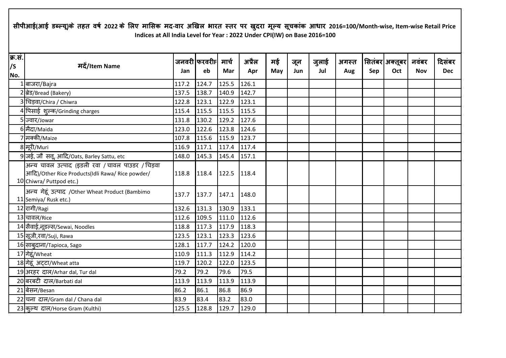## सीपीआई(आई डब्ल्यू)के तहत वर्ष 2022 के लिए मासिक मद-वार अखिल भारत स्तर पर खुदरा मूल्य सूचकांक आधार 2016=100/Month-wise, Item-wise Retail Price **Indices at All India Level for Year : 2022 Under CPI(IW) on Base 2016=100**

| क्र.सं.<br>/S<br>No. | मदें/Item Name                                                                                                                   | Jan   | जनवरी फरवरीF  मार्च<br>eb | Mar   | अप्रैल<br>Apr | मई<br>May | जून<br>Jun | जुलाई<br>Jul | अगस्त<br>Aug | Sep | सितंबर  अक्तूबर  <br>Oct | नवंबर<br><b>Nov</b> | दिसंबर<br><b>Dec</b> |
|----------------------|----------------------------------------------------------------------------------------------------------------------------------|-------|---------------------------|-------|---------------|-----------|------------|--------------|--------------|-----|--------------------------|---------------------|----------------------|
|                      | 1 बाजरा/Bajra                                                                                                                    | 117.2 | 124.7                     | 125.5 | 126.1         |           |            |              |              |     |                          |                     |                      |
|                      | 2 ब्रेड/Bread (Bakery)                                                                                                           | 137.5 | 138.7                     | 140.9 | 142.7         |           |            |              |              |     |                          |                     |                      |
|                      | 3 चिड़वा/Chira / Chiwra                                                                                                          | 122.8 | 123.1                     | 122.9 | 123.1         |           |            |              |              |     |                          |                     |                      |
|                      | 4 पिसाई शुल्क/Grinding charges                                                                                                   | 115.4 | 115.5                     | 115.5 | 115.5         |           |            |              |              |     |                          |                     |                      |
|                      | 5 ज्वार/Jowar                                                                                                                    | 131.8 | 130.2                     | 129.2 | 127.6         |           |            |              |              |     |                          |                     |                      |
|                      | 6 मैदा/Maida                                                                                                                     | 123.0 | 122.6                     | 123.8 | 124.6         |           |            |              |              |     |                          |                     |                      |
|                      | 7 मक्की/Maize                                                                                                                    | 107.8 | 115.6                     | 115.9 | 123.7         |           |            |              |              |     |                          |                     |                      |
|                      | 8 मूरी/Muri                                                                                                                      | 116.9 | 117.1                     | 117.4 | 117.4         |           |            |              |              |     |                          |                     |                      |
|                      | 9 जई, जौ सत्तू, आदि/Oats, Barley Sattu, etc                                                                                      | 148.0 | 145.3                     | 145.4 | 157.1         |           |            |              |              |     |                          |                     |                      |
|                      | अन्य चावल उत्पाद (इडली रवा / चावल पाउडर / चिड़वा<br>आदि)/Other Rice Products(Idli Rawa/ Rice powder/<br>10 Chiwra/ Puttpod etc.) | 118.8 | 118.4                     | 122.5 | 118.4         |           |            |              |              |     |                          |                     |                      |
|                      | अन्य गेहूं उत्पाद /Other Wheat Product (Bambimo<br>11 Semiya/ Rusk etc.)                                                         | 137.7 | 137.7                     | 147.1 | 148.0         |           |            |              |              |     |                          |                     |                      |
|                      | 12 रागी/Ragi                                                                                                                     | 132.6 | 131.3                     | 130.9 | 133.1         |           |            |              |              |     |                          |                     |                      |
|                      | 13 चावल/Rice                                                                                                                     | 112.6 | 109.5                     | 111.0 | 112.6         |           |            |              |              |     |                          |                     |                      |
|                      | 14 सैवाई,नूडल्स/Sewai, Noodles                                                                                                   | 118.8 | 117.3                     | 117.9 | 118.3         |           |            |              |              |     |                          |                     |                      |
|                      | 15 सूजी, रवा/Suji, Rawa                                                                                                          | 123.5 | 123.1                     | 123.3 | 123.6         |           |            |              |              |     |                          |                     |                      |
|                      | 16 साब् <i>दाना/Tapioca</i> , Sago                                                                                               | 128.1 | 117.7                     | 124.2 | 120.0         |           |            |              |              |     |                          |                     |                      |
|                      | 17 गेहूं/Wheat                                                                                                                   | 110.9 | 111.3                     | 112.9 | 114.2         |           |            |              |              |     |                          |                     |                      |
|                      | 18 गेहूं अटटा/Wheat atta                                                                                                         | 119.7 | 120.2                     | 122.0 | 123.5         |           |            |              |              |     |                          |                     |                      |
|                      | 19 अरहर दाल/Arhar dal, Tur dal                                                                                                   | 79.2  | 79.2                      | 79.6  | 79.5          |           |            |              |              |     |                          |                     |                      |
|                      | 20 बरबटी दाल/Barbati dal                                                                                                         | 113.9 | 113.9                     | 113.9 | 113.9         |           |            |              |              |     |                          |                     |                      |
|                      | 21 बेसन/Besan                                                                                                                    | 86.2  | 86.1                      | 86.8  | 86.9          |           |            |              |              |     |                          |                     |                      |
|                      | 22 चना दाल/Gram dal / Chana dal                                                                                                  | 83.9  | 83.4                      | 83.2  | 83.0          |           |            |              |              |     |                          |                     |                      |
|                      | 23 कल्थ दाल/Horse Gram (Kulthi)                                                                                                  | 125.5 | 128.8                     | 129.7 | 129.0         |           |            |              |              |     |                          |                     |                      |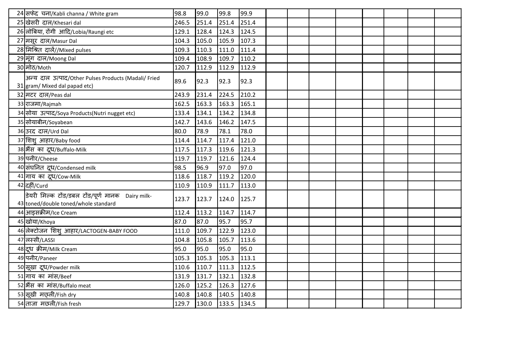| 24 सफेद चना/Kabli channa / White gram                                                    | 98.8  | 99.0  | 99.8          | 99.9  |  |  |  |  |
|------------------------------------------------------------------------------------------|-------|-------|---------------|-------|--|--|--|--|
| 25 खेसरी दाल/Khesari dal                                                                 | 246.5 | 251.4 | 251.4         | 251.4 |  |  |  |  |
| 26 लोबिया, रोंगी आदि/Lobia/Raungi etc                                                    | 129.1 | 128.4 | 124.3         | 124.5 |  |  |  |  |
| 27 मसूर दाल/Masur Dal                                                                    | 104.3 | 105.0 | 105.9         | 107.3 |  |  |  |  |
| 28 मिश्रित दालें//Mixed pulses                                                           | 109.3 | 110.3 | 111.0         | 111.4 |  |  |  |  |
| 29 मूंग दाल/Moong Dal                                                                    | 109.4 | 108.9 | 109.7         | 110.2 |  |  |  |  |
| 30 ਸੀਠ/Moth                                                                              | 120.7 | 112.9 | 112.9         | 112.9 |  |  |  |  |
| अन्य दाल उत्पाद/Other Pulses Products (Madali/ Fried<br>31 gram/ Mixed dal papad etc)    | 89.6  | 92.3  | 92.3          | 92.3  |  |  |  |  |
| 32 मटर दाल/Peas dal                                                                      | 243.9 | 231.4 | 224.5         | 210.2 |  |  |  |  |
| 33 राजमा/Rajmah                                                                          | 162.5 | 163.3 | 163.3         | 165.1 |  |  |  |  |
| 34 सोया उत्पाद/Soya Products(Nutri nugget etc)                                           | 133.4 | 134.1 | 134.2         | 134.8 |  |  |  |  |
| 35 सोयाबीन/Soyabean                                                                      | 142.7 | 143.6 | 146.2         | 147.5 |  |  |  |  |
| 36 उरद दाल/Urd Dal                                                                       | 80.0  | 78.9  | 78.1          | 78.0  |  |  |  |  |
| 37 शिश् आहार/Baby food                                                                   | 114.4 | 114.7 | 117.4         | 121.0 |  |  |  |  |
| 38 भैंस का दूध/Buffalo-Milk                                                              | 117.5 | 117.3 | 119.6         | 121.3 |  |  |  |  |
| 39 पनीर/Cheese                                                                           | 119.7 | 119.7 | 121.6         | 124.4 |  |  |  |  |
| 40 संघनित दूध/Condensed milk                                                             | 98.5  | 96.9  | 97.0          | 97.0  |  |  |  |  |
| 41 गाय का दूध/Cow-Milk                                                                   | 118.6 | 118.7 | 119.2         | 120.0 |  |  |  |  |
| 42 दहीं/Curd                                                                             | 110.9 | 110.9 | 111.7         | 113.0 |  |  |  |  |
| डेयरी मिल्क टोंड/डबल टोंड/पूर्ण मानक Dairy milk-<br>43 toned/double toned/whole standard | 123.7 | 123.7 | 124.0 125.7   |       |  |  |  |  |
| 44 आइसक्रीम/Ice Cream                                                                    | 112.4 | 113.2 | 114.7         | 114.7 |  |  |  |  |
| 45 खोया/Khoya                                                                            | 87.0  | 87.0  | 95.7          | 95.7  |  |  |  |  |
| 46 लेक्टोजन शिशु आहार/LACTOGEN-BABY FOOD                                                 | 111.0 | 109.7 | 122.9         | 123.0 |  |  |  |  |
| 47 लस्सी/LASSI                                                                           | 104.8 | 105.8 | 105.7         | 113.6 |  |  |  |  |
| 48 दूध क्रीम/Milk Cream                                                                  | 95.0  | 95.0  | 95.0          | 95.0  |  |  |  |  |
| 49 पनीर/Paneer                                                                           | 105.3 | 105.3 | 105.3         | 113.1 |  |  |  |  |
| 50 सूखा दूध/Powder milk                                                                  | 110.6 | 110.7 | 111.3         | 112.5 |  |  |  |  |
| 51 गाय का मांस/Beef                                                                      | 131.9 | 131.7 | 132.1         | 132.8 |  |  |  |  |
| 52 भैंस का मांस/Buffalo meat                                                             | 126.0 | 125.2 | 126.3         | 127.6 |  |  |  |  |
| 53 सुखी मछ्ली/Fish dry                                                                   | 140.8 | 140.8 | 140.5         | 140.8 |  |  |  |  |
| 54 ताजा मछली/Fish fresh                                                                  | 129.7 | 130.0 | $133.5$ 134.5 |       |  |  |  |  |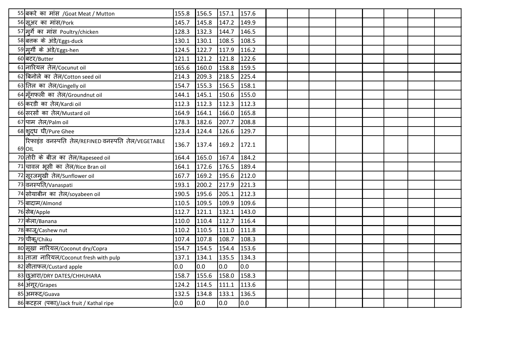| 55 बकरे का मांस /Goat Meat / Mutton                         | 155.8 | 156.5 | 157.1       | 157.6 |  |  |  |  |
|-------------------------------------------------------------|-------|-------|-------------|-------|--|--|--|--|
| 56 सुअर का मांस/Pork                                        | 145.7 | 145.8 | 147.2       | 149.9 |  |  |  |  |
| 57 मूर्गे का मांस Poultry/chicken                           | 128.3 | 132.3 | 144.7       | 146.5 |  |  |  |  |
| 58 बत्तक के अंडे/Eggs-duck                                  | 130.1 | 130.1 | 108.5       | 108.5 |  |  |  |  |
| 59 मुर्गी के अंडे/Eggs-hen                                  | 124.5 | 122.7 | 117.9       | 116.2 |  |  |  |  |
| 60 बटर/Butter                                               | 121.1 | 121.2 | 121.8       | 122.6 |  |  |  |  |
| 61 नारियल तेल/Cocunut oil                                   | 165.6 | 160.0 | 158.8       | 159.5 |  |  |  |  |
| 62 बिनोले का तेल/Cotton seed oil                            | 214.3 | 209.3 | 218.5       | 225.4 |  |  |  |  |
| 63 तिल का तेल/Gingelly oil                                  | 154.7 | 155.3 | 156.5       | 158.1 |  |  |  |  |
| 64 म्रॅगफली का तेल/Groundnut oil                            | 144.1 | 145.1 | 150.6       | 155.0 |  |  |  |  |
| 65 करडी का तेल/Kardi oil                                    | 112.3 | 112.3 | 112.3       | 112.3 |  |  |  |  |
| 66 सरसों का तेल/Mustard oil                                 | 164.9 | 164.1 | 166.0       | 165.8 |  |  |  |  |
| 67 पाम तेल/Palm oil                                         | 178.3 | 182.6 | 207.7       | 208.8 |  |  |  |  |
| 68 शुद्ध घी/Pure Ghee                                       | 123.4 | 124.4 | 126.6       | 129.7 |  |  |  |  |
| रिफाइंड वनस्पति तेल/REFINED वनस्पति तेल/VEGETABLE<br>69 OIL | 136.7 | 137.4 | 169.2 172.1 |       |  |  |  |  |
| 70 तोरी के बीज का तेल/Rapeseed oil                          | 164.4 | 165.0 | 167.4       | 184.2 |  |  |  |  |
| 71 चावल भूसी का तेल/Rice Bran oil                           | 164.1 | 172.6 | 176.5       | 189.4 |  |  |  |  |
| 72 सूरजमुखी तेल/Sunflower oil                               | 167.7 | 169.2 | 195.6       | 212.0 |  |  |  |  |
| 73 वनस्पति/Vanaspati                                        | 193.1 | 200.2 | 217.9       | 221.3 |  |  |  |  |
| 74 सोयाबीन का तेल/soyabeen oil                              | 190.5 | 195.6 | 205.1       | 212.3 |  |  |  |  |
| 75 बादाम/Almond                                             | 110.5 | 109.5 | 109.9       | 109.6 |  |  |  |  |
| 76 सेब/Apple                                                | 112.7 | 121.1 | 132.1       | 143.0 |  |  |  |  |
| 77 केला/Banana                                              | 110.0 | 110.4 | 112.7       | 116.4 |  |  |  |  |
| 78 काजू/Cashew nut                                          | 110.2 | 110.5 | 111.0       | 111.8 |  |  |  |  |
| 79 चीक/Chiku                                                | 107.4 | 107.8 | 108.7       | 108.3 |  |  |  |  |
| 80 सूखा नारियल/Coconut dry/Copra                            | 154.7 | 154.5 | 154.4       | 153.6 |  |  |  |  |
| 81 ताजा नारियल/Coconut fresh with pulp                      | 137.1 | 134.1 | 135.5       | 134.3 |  |  |  |  |
| 82 सीताफल/Custard apple                                     | 0.0   | 0.0   | 0.0         | 0.0   |  |  |  |  |
| 83 छुआरा/DRY DATES/CHHUHARA                                 | 158.7 | 155.6 | 158.0       | 158.3 |  |  |  |  |
| 84 अंगूर/Grapes                                             | 124.2 | 114.5 | 111.1       | 113.6 |  |  |  |  |
| 85 अमरूद/Guava                                              | 132.5 | 134.8 | 133.1       | 136.5 |  |  |  |  |
| 86 कटहल (पका)/Jack fruit / Kathal ripe                      | 0.0   | 0.0   | lo.o        | 0.0   |  |  |  |  |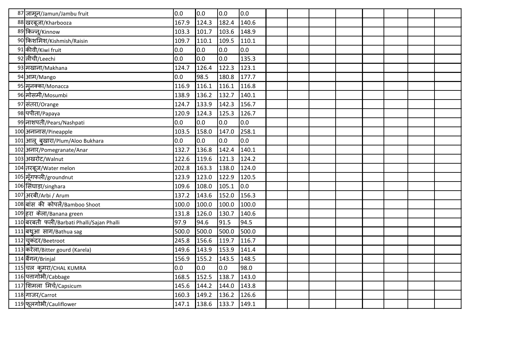| 87 जामून/Jamun/Jambu fruit                | 0.0   | 0.0   | 0.0   | 0.0   |  |  |  |  |
|-------------------------------------------|-------|-------|-------|-------|--|--|--|--|
| 88 खरबूजा/Kharbooza                       | 167.9 | 124.3 | 182.4 | 140.6 |  |  |  |  |
| 89 किन्नू/Kinnow                          | 103.3 | 101.7 | 103.6 | 148.9 |  |  |  |  |
| 90 किशमिश/Kishmish/Raisin                 | 109.7 | 110.1 | 109.5 | 110.1 |  |  |  |  |
| 91 कीवी/Kiwi fruit                        | 0.0   | 0.0   | 0.0   | 0.0   |  |  |  |  |
| 92 लीची/Leechi                            | 0.0   | 0.0   | 0.0   | 135.3 |  |  |  |  |
| 93 मखाना/Makhana                          | 124.7 | 126.4 | 122.3 | 123.1 |  |  |  |  |
| 94 आम/Mango                               | 0.0   | 98.5  | 180.8 | 177.7 |  |  |  |  |
| 95 मूनक्का/Monacca                        | 116.9 | 116.1 | 116.1 | 116.8 |  |  |  |  |
| 96 मोसमी/Mosumbi                          | 138.9 | 136.2 | 132.7 | 140.1 |  |  |  |  |
| 97 संतरा/Orange                           | 124.7 | 133.9 | 142.3 | 156.7 |  |  |  |  |
| 98 पपीता/Рарауа                           | 120.9 | 124.3 | 125.3 | 126.7 |  |  |  |  |
| 99 नाशपती/Pears/Nashpati                  | 0.0   | 0.0   | 0.0   | 0.0   |  |  |  |  |
| 100 अनानास/Pineapple                      | 103.5 | 158.0 | 147.0 | 258.1 |  |  |  |  |
| 101 आलू बुखारा/Plum/Aloo Bukhara          | 0.0   | 0.0   | 0.0   | 0.0   |  |  |  |  |
| 102 अनार/Pomegranate/Anar                 | 132.7 | 136.8 | 142.4 | 140.1 |  |  |  |  |
| 103 अखरोट/Walnut                          | 122.6 | 119.6 | 121.3 | 124.2 |  |  |  |  |
| 104 तरबूज/Water melon                     | 202.8 | 163.3 | 138.0 | 124.0 |  |  |  |  |
| 105 मूँगफली/groundnut                     | 123.9 | 123.0 | 122.9 | 120.5 |  |  |  |  |
| 106 सिंघाड़ा/singhara                     | 109.6 | 108.0 | 105.1 | 0.0   |  |  |  |  |
| 107 अरबी/Arbi / Arum                      | 137.2 | 143.6 | 152.0 | 156.3 |  |  |  |  |
| 108 बांस की कोपलें/Bamboo Shoot           | 100.0 | 100.0 | 100.0 | 100.0 |  |  |  |  |
| 109 हरा केला/Banana green                 | 131.8 | 126.0 | 130.7 | 140.6 |  |  |  |  |
| 110 बरबती फली/Barbati Phalli/Sajan Phalli | 97.9  | 94.6  | 91.5  | 94.5  |  |  |  |  |
| 111 बथुआ साग/Bathua sag                   | 500.0 | 500.0 | 500.0 | 500.0 |  |  |  |  |
| 112 चुकंदर/Beetroot                       | 245.8 | 156.6 | 119.7 | 116.7 |  |  |  |  |
| 113 करेला/Bitter gourd (Karela)           | 149.6 | 143.9 | 153.9 | 141.4 |  |  |  |  |
| 114 बैंगन/Brinjal                         | 156.9 | 155.2 | 143.5 | 148.5 |  |  |  |  |
| 115 चल कुमरा/CHAL KUMRA                   | 0.0   | 0.0   | 0.0   | 98.0  |  |  |  |  |
| 116 पत्तागोभी/Cabbage                     | 168.5 | 152.5 | 138.7 | 143.0 |  |  |  |  |
| 117 शिमला मिर्च/Capsicum                  | 145.6 | 144.2 | 144.0 | 143.8 |  |  |  |  |
| 118 गाजर/Carrot                           | 160.3 | 149.2 | 136.2 | 126.6 |  |  |  |  |
| 119 फूलगोभी/Cauliflower                   | 147.1 | 138.6 | 133.7 | 149.1 |  |  |  |  |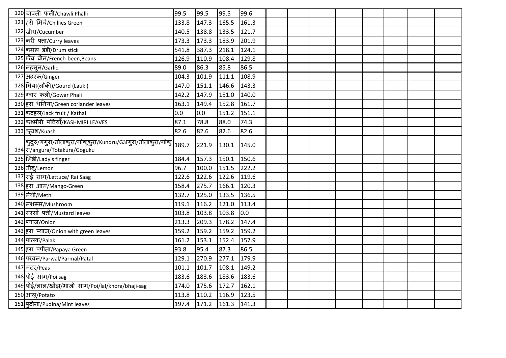| 120 चावली फली/Chawli Phalli                                                                   | 99.5  | 99.5  | 99.5          | 99.6  |  |  |  |  |
|-----------------------------------------------------------------------------------------------|-------|-------|---------------|-------|--|--|--|--|
| 121 हरी मिर्च/Chillies Green                                                                  | 133.8 | 147.3 | 165.5         | 161.3 |  |  |  |  |
| 122 खीरा/Cucumber                                                                             | 140.5 | 138.8 | 133.5 121.7   |       |  |  |  |  |
| 123 करी पता/Curry leaves                                                                      | 173.3 | 173.3 | 183.9         | 201.9 |  |  |  |  |
| 124 कमल डंडी/Drum stick                                                                       | 541.8 | 387.3 | 218.1         | 124.1 |  |  |  |  |
| 125 फ्रेंच बीन/French-been, Beans                                                             | 126.9 | 110.9 | 108.4         | 129.8 |  |  |  |  |
| 126 लहसुन/Garlic                                                                              | 89.0  | 86.3  | 85.8          | 86.5  |  |  |  |  |
| 127 अदरक/Ginger                                                                               | 104.3 | 101.9 | 111.1         | 108.9 |  |  |  |  |
| 128 घिया(लौकी)/Gourd (Lauki)                                                                  | 147.0 | 151.1 | 146.6         | 143.3 |  |  |  |  |
| 129 ग्वार फली/Gowar Phali                                                                     | 142.2 | 147.9 | 151.0         | 140.0 |  |  |  |  |
| 130 हरा धनिया/Green coriander leaves                                                          | 163.1 | 149.4 | 152.8         | 161.7 |  |  |  |  |
| 131 कटहल/Jack fruit / Kathal                                                                  | 0.0   | 0.0   | 151.2 151.1   |       |  |  |  |  |
| 132 कश्मीरी पत्तियाँ/KASHMIRI LEAVES                                                          | 87.1  | 78.8  | 88.0          | 74.3  |  |  |  |  |
| 133 कूयश/Kuash                                                                                | 82.6  | 82.6  | 82.6          | 82.6  |  |  |  |  |
| कुंदुरु/गंगुरा/तोताकुरा/गोकूकुरा/Kundru/Gअंगुरा/तोताकुरा/गोकु<br>134 T/angura/Totakura/Goguku | 189.7 | 221.9 | 130.1 145.0   |       |  |  |  |  |
| 135   भिंडी/Lady's finger                                                                     | 184.4 | 157.3 | 150.1 150.6   |       |  |  |  |  |
| 136 नींबू/Lemon                                                                               | 96.7  | 100.0 | 151.5 222.2   |       |  |  |  |  |
| 137 राई साग/Lettuce/ Rai Saag                                                                 | 122.6 | 122.6 | 122.6 119.6   |       |  |  |  |  |
| 138 हरा आम/Mango-Green                                                                        | 158.4 | 275.7 | 166.1 120.3   |       |  |  |  |  |
| 139 मेथी/Methi                                                                                | 132.7 | 125.0 | 133.5 136.5   |       |  |  |  |  |
| 140 मशरूम/Mushroom                                                                            | 119.1 | 116.2 | 121.0 113.4   |       |  |  |  |  |
| 141 सरसों पत्ती/Mustard leaves                                                                | 103.8 | 103.8 | 103.8         | 0.0   |  |  |  |  |
| 142 प्याज/Onion                                                                               | 213.3 | 209.3 | 178.2 147.4   |       |  |  |  |  |
| 143 हरा प्याज/Onion with green leaves                                                         | 159.2 | 159.2 | 159.2 159.2   |       |  |  |  |  |
| 144 पालक/Palak                                                                                | 161.2 | 153.1 | 152.4 157.9   |       |  |  |  |  |
| 145 हरा पपीता/Papaya Green                                                                    | 93.8  | 95.4  | 87.3          | 86.5  |  |  |  |  |
| 146 परवल/Parwal/Parmal/Patal                                                                  | 129.1 | 270.9 | 277.1         | 179.9 |  |  |  |  |
| 147 मटर/Peas                                                                                  | 101.1 | 101.7 | 108.1         | 149.2 |  |  |  |  |
| 148 पोई साग/Poi sag                                                                           | 183.6 | 183.6 | 183.6 183.6   |       |  |  |  |  |
| 149 पोई/लाल/खोड़ा/भाजी साग/Poi/lal/khora/bhaji-sag                                            | 174.0 | 175.6 | 172.7         | 162.1 |  |  |  |  |
| 150 आलू/Potato                                                                                | 113.8 | 110.2 | 116.9         | 123.5 |  |  |  |  |
| 151 पुदीना/Pudina/Mint leaves                                                                 | 197.4 | 171.2 | $161.3$ 141.3 |       |  |  |  |  |
|                                                                                               |       |       |               |       |  |  |  |  |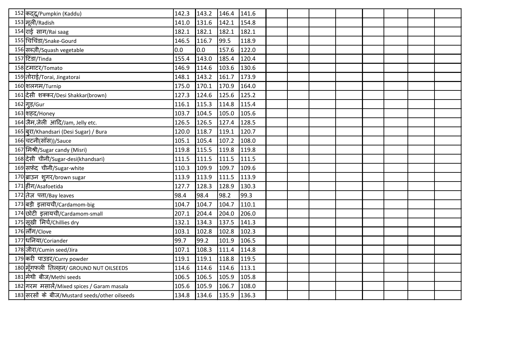| 152 कदद/Pumpkin (Kaddu)                       | 142.3 | 143.2 | 146.4 | 141.6 |  |  |  |  |
|-----------------------------------------------|-------|-------|-------|-------|--|--|--|--|
| 153 मूली/Radish                               | 141.0 | 131.6 | 142.1 | 154.8 |  |  |  |  |
| 154 राई साग/Rai saag                          | 182.1 | 182.1 | 182.1 | 182.1 |  |  |  |  |
| 155 चिचिंडा/Snake-Gourd                       | 146.5 | 116.7 | 99.5  | 118.9 |  |  |  |  |
| 156 सब्ज़ी/Squash vegetable                   | 0.0   | 0.0   | 157.6 | 122.0 |  |  |  |  |
| 157 टिंडा/Tinda                               | 155.4 | 143.0 | 185.4 | 120.4 |  |  |  |  |
| 158 टमाटर/Tomato                              | 146.9 | 114.6 | 103.6 | 130.6 |  |  |  |  |
| 159 तोराई/Torai, Jingatorai                   | 148.1 | 143.2 | 161.7 | 173.9 |  |  |  |  |
| 160 शलगम/Turnip                               | 175.0 | 170.1 | 170.9 | 164.0 |  |  |  |  |
| 161 दिसी शक्कर/Desi Shakkar(brown)            | 127.3 | 124.6 | 125.6 | 125.2 |  |  |  |  |
| 162 ग्इ/Gur                                   | 116.1 | 115.3 | 114.8 | 115.4 |  |  |  |  |
| 163 शहद/Honey                                 | 103.7 | 104.5 | 105.0 | 105.6 |  |  |  |  |
| 164 जैम,जेली आदि/Jam, Jelly etc.              | 126.5 | 126.5 | 127.4 | 128.5 |  |  |  |  |
| 165 बुरा/Khandsari (Desi Sugar) / Bura        | 120.0 | 118.7 | 119.1 | 120.7 |  |  |  |  |
| 166 चटनी(सॉस))/Sauce                          | 105.1 | 105.4 | 107.2 | 108.0 |  |  |  |  |
| 167 मिश्री/Sugar candy (Misri)                | 119.8 | 115.5 | 119.8 | 119.8 |  |  |  |  |
| 168 देसी चीनी/Sugar-desi(khandsari)           | 111.5 | 111.5 | 111.5 | 111.5 |  |  |  |  |
| 169 सफ़ेद चीनी/Sugar-white                    | 110.3 | 109.9 | 109.7 | 109.6 |  |  |  |  |
| 170 ब्राउन शुगर/brown sugar                   | 113.9 | 113.9 | 111.5 | 113.9 |  |  |  |  |
| 171 हींग/Asafoetida                           | 127.7 | 128.3 | 128.9 | 130.3 |  |  |  |  |
| 172 तेज़ पत्ता/Bay leaves                     | 98.4  | 98.4  | 98.2  | 99.3  |  |  |  |  |
| 173 बड़ी इलायची/Cardamom-big                  | 104.7 | 104.7 | 104.7 | 110.1 |  |  |  |  |
| 174 छोटी इलायची/Cardamom-small                | 207.1 | 204.4 | 204.0 | 206.0 |  |  |  |  |
| 175 सूखी मिर्च/Chillies dry                   | 132.1 | 134.3 | 137.5 | 141.3 |  |  |  |  |
| 176 लौंग/Clove                                | 103.1 | 102.8 | 102.8 | 102.3 |  |  |  |  |
| 177 धनिया/Coriander                           | 99.7  | 99.2  | 101.9 | 106.5 |  |  |  |  |
| 178 जीरा/Cumin seed/Jira                      | 107.1 | 108.3 | 111.4 | 114.8 |  |  |  |  |
| 179 करी पाउडर/Curry powder                    | 119.1 | 119.1 | 118.8 | 119.5 |  |  |  |  |
| 180 मूँगफली तिलहन/ GROUND NUT OILSEEDS        | 114.6 | 114.6 | 114.6 | 113.1 |  |  |  |  |
| 181 मेथी बीज/Methi seeds                      | 106.5 | 106.5 | 105.9 | 105.8 |  |  |  |  |
| 182 गरम मसालें/Mixed spices / Garam masala    | 105.6 | 105.9 | 106.7 | 108.0 |  |  |  |  |
| 183 सरसों के बीज/Mustard seeds/other oilseeds | 134.8 | 134.6 | 135.9 | 136.3 |  |  |  |  |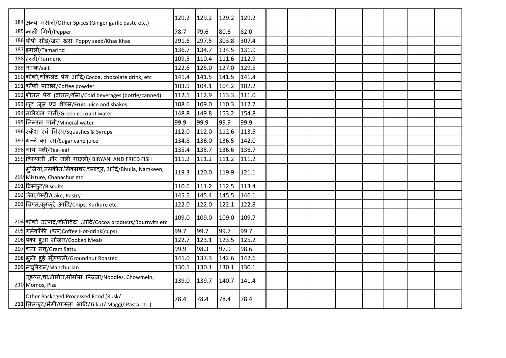| 184 अन्य मसाले/Other Spices (Ginger garlic paste etc.)                                        | 129.2 | 129.2 | $129.2$ 129.2 |       |  |  |  |  |
|-----------------------------------------------------------------------------------------------|-------|-------|---------------|-------|--|--|--|--|
| 185 काली मिर्च/Pepper                                                                         | 78.7  | 79.6  | 80.6          | 82.0  |  |  |  |  |
| 186 पोपी सीड/खस खस Poppy seed/Khas Khas                                                       | 291.6 | 297.5 | 303.8         | 307.4 |  |  |  |  |
| 187 इमली/Tamarind                                                                             | 136.7 | 134.7 | 134.5         | 131.9 |  |  |  |  |
| 188 हल्दी/Turmeric                                                                            | 109.5 | 110.4 | 111.6         | 112.9 |  |  |  |  |
| 189 नमक/salt                                                                                  | 122.6 | 125.0 | 127.0         | 129.5 |  |  |  |  |
| 190 कोको,चॉकलेट पेय आदि/Cocoa, chocolate drink, etc                                           | 141.4 | 141.5 | 141.5         | 141.4 |  |  |  |  |
| 191 कॉफी पाउडर/Coffee powder                                                                  | 103.9 | 104.1 | 104.2         | 102.2 |  |  |  |  |
| 192 शीतल पेय (बोतल/केन)/Cold beverages (bottle/canned)                                        | 112.1 | 112.9 | 113.3         | 111.0 |  |  |  |  |
| 193 फ़ूट जूस एवं शेक्स/Fruit Juice and shakes                                                 | 108.6 | 109.0 | 110.3         | 112.7 |  |  |  |  |
| 194 नारियल पानी/Green cocount water                                                           | 148.8 | 149.8 | 153.2         | 154.8 |  |  |  |  |
| 195 मिनरल पानी/Mineral water                                                                  | 99.9  | 99.9  | 99.9          | 99.9  |  |  |  |  |
| 196 स्केश एवं सिरप/Squashes & Syrups                                                          | 112.0 | 112.0 | 112.6         | 113.5 |  |  |  |  |
| 197 गन्ने का रस/Sugar cane juice                                                              | 134.8 | 136.0 | 136.5         | 142.0 |  |  |  |  |
| 198 चाय पत्ती/Tea-leaf                                                                        | 135.4 | 135.7 | 136.6         | 136.7 |  |  |  |  |
| 199 बिरयानी और तली मछली/ BIRYANI AND FRIED FISH                                               | 111.2 | 111.2 | $111.2$ 111.2 |       |  |  |  |  |
| भूजिया,नमकीन,मिक्सचर,चनाचूर, आदि/Bhujia, Namkeen,<br>200 Mixture, Chanachur etc               | 119.3 | 120.0 | 119.9         | 121.1 |  |  |  |  |
| 201 बिस्कूट/Biscuits                                                                          | 110.6 | 111.2 | 112.5         | 113.4 |  |  |  |  |
| 202 केक, पेस्ट्री/Cake, Pastry                                                                | 145.5 | 145.4 | 145.5         | 146.1 |  |  |  |  |
| 203 चिप्स, करकरे आदि/Chips, Kurkure etc.                                                      | 122.0 | 122.0 | 122.1         | 122.8 |  |  |  |  |
| 204 कोको उत्पाद/बोर्नविटा आदि/Cocoa products/Bournvits etc                                    | 109.0 | 109.0 | 109.0         | 109.7 |  |  |  |  |
| 205 गर्मकॉफी (कप)Coffee Hot-drink(cups)                                                       | 99.7  | 99.7  | 99.7          | 99.7  |  |  |  |  |
| 206 पका हुआ भोजन/Cooked Meals                                                                 | 122.7 | 123.1 | 123.5         | 125.2 |  |  |  |  |
| 207 चना सत्/Gram Sattu                                                                        | 99.9  | 98.3  | 97.9          | 98.6  |  |  |  |  |
| 208 भूनी हुई मूँगफली/Groundnut Roasted                                                        | 141.0 | 137.3 | 142.6         | 142.6 |  |  |  |  |
| 209 मंचूरियन/Manchurian                                                                       | 130.1 | 130.1 | 130.1         | 130.1 |  |  |  |  |
| नूडल्स,चाओमिन,मोमोस पिज्जा/Noodles, Chowmein,<br>210 Momos, Piza                              | 139.0 | 139.7 | $140.7$ 141.4 |       |  |  |  |  |
| Other Packeged Processed Food (Rusk/<br>211 तिलकुट/मैगी/पास्ता आदि/Tilkut/ Maggi/ Pasta etc.) | 78.4  | 78.4  | 78.4          | 78.4  |  |  |  |  |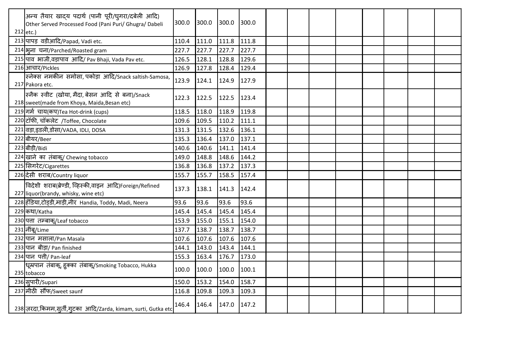| अन्य तैयार खादय पदार्थ (पानी पूरी/घुगरा/दबेली आदि)<br>Other Served Processed Food (Pani Puri/ Ghugra/ Dabeli<br>$212$ etc.) | 300.0 | 300.0 | 300.0         | 300.0 |  |  |  |  |
|-----------------------------------------------------------------------------------------------------------------------------|-------|-------|---------------|-------|--|--|--|--|
| 213 पापड़ वडीआदि/Papad, Vadi etc.                                                                                           | 110.4 | 111.0 | $111.8$ 111.8 |       |  |  |  |  |
| 214 भूना चना/Parched/Roasted gram                                                                                           | 227.7 | 227.7 | 227.7         | 227.7 |  |  |  |  |
| 215 पाव भाजी, वड़ापाव आदि/ Pav Bhaji, Vada Pav etc.                                                                         | 126.5 | 128.1 | 128.8         | 129.6 |  |  |  |  |
| 216 आचार/Pickles                                                                                                            | 126.9 | 127.8 | 128.4         | 129.4 |  |  |  |  |
| स्नेक्स नमकीन समोसा, पकोड़ा आदि/Snack saltish-Samosa,<br>217 Pakora etc.                                                    | 123.9 | 124.1 | 124.9 127.9   |       |  |  |  |  |
| स्नैक स्वीट (खोया, मैदा, बेसन आदि से बना)/Snack<br>218 sweet(made from Khoya, Maida, Besan etc)                             | 122.3 | 122.5 | $122.5$ 123.4 |       |  |  |  |  |
| 219 गर्म चाय(कप)Tea Hot-drink (cups)                                                                                        | 118.5 | 118.0 | 118.9 119.8   |       |  |  |  |  |
| 220 टॉफी, चॉकलेट /Toffee, Chocolate                                                                                         | 109.6 | 109.5 | 110.2         | 111.1 |  |  |  |  |
| 221 वड़ा,इडली,डोसा/VADA, IDLI, DOSA                                                                                         | 131.3 | 131.5 | 132.6         | 136.1 |  |  |  |  |
| 222 बीयर/Beer                                                                                                               | 135.3 | 136.4 | 137.0         | 137.1 |  |  |  |  |
| 223 बीड़ी/Bidi                                                                                                              | 140.6 | 140.6 | 141.1         | 141.4 |  |  |  |  |
| 224 खाने का तंबाकू/ Chewing tobacco                                                                                         | 149.0 | 148.8 | 148.6 144.2   |       |  |  |  |  |
| 225 सिगरेट/Cigarettes                                                                                                       | 136.8 | 136.8 | 137.2         | 137.3 |  |  |  |  |
| 226 देसी शराब/Country liquor                                                                                                | 155.7 | 155.7 | 158.5         | 157.4 |  |  |  |  |
| विदेशी शराब(ब्रेण्डी, व्हिस्की,वाइन आदि)Foreign/Refined<br>227 liquor(brandy, whisky, wine etc)                             | 137.3 | 138.1 | $141.3$ 142.4 |       |  |  |  |  |
| 228 हँडिया,टोड़डी,माड़ी,नीर Handia, Toddy, Madi, Neera                                                                      | 93.6  | 93.6  | 93.6          | 93.6  |  |  |  |  |
| 229 कथा/Katha                                                                                                               | 145.4 | 145.4 | 145.4         | 145.4 |  |  |  |  |
| 230 पत्ता तम्बाक्/Leaf tobacco                                                                                              | 153.9 | 155.0 | 155.1         | 154.0 |  |  |  |  |
| 231 नींबू/Lime                                                                                                              | 137.7 | 138.7 | 138.7         | 138.7 |  |  |  |  |
| 232 पान मसाला/Pan Masala                                                                                                    | 107.6 | 107.6 | 107.6         | 107.6 |  |  |  |  |
| 233 पान बीड़ा/ Pan finished                                                                                                 | 144.1 | 143.0 | 143.4         | 144.1 |  |  |  |  |
| 234 पान पत्ती/ Pan-leaf                                                                                                     | 155.3 | 163.4 | 176.7         | 173.0 |  |  |  |  |
| धूम्रपान तंबाक्, हुक्का तंबाक्/Smoking Tobacco, Hukka<br>235 tobacco                                                        | 100.0 | 100.0 | 100.0 100.1   |       |  |  |  |  |
| 236 सुपारी/Supari                                                                                                           | 150.0 | 153.2 | 154.0         | 158.7 |  |  |  |  |
| 237 मीठी सौंफ/Sweet saunf                                                                                                   | 116.8 | 109.8 | 109.3         | 109.3 |  |  |  |  |
| 238 ज़रदा, किमम, सूर्ती, गुटका आदि/Zarda, kimam, surti, Gutka etc                                                           | 146.4 | 146.4 | $147.0$ 147.2 |       |  |  |  |  |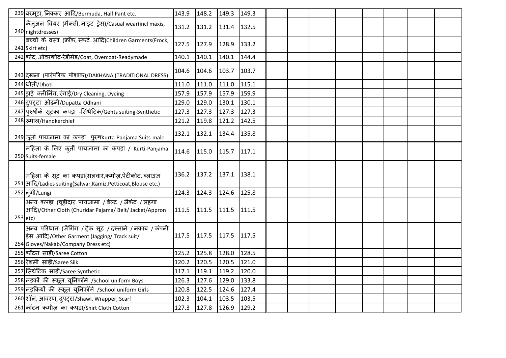|          | 239 बरमूडा, निक्कर आदि/Bermuda, Half Pant etc.                                                                                                    | 143.9       | 148.2 | 149.3         | 149.3 |  |  |  |  |
|----------|---------------------------------------------------------------------------------------------------------------------------------------------------|-------------|-------|---------------|-------|--|--|--|--|
|          | कैजुअल वियर (मैक्सी, नाइट ड्रेस)/Casual wear(incl maxis,<br>240 nightdresses)                                                                     | 131.2       | 131.2 | 131.4         | 132.5 |  |  |  |  |
|          | बच्चों के वस्त्र (फ्रॉक, स्कर्ट आदि)Children Garments(Frock,<br>241 Skirt etc)                                                                    | 127.5       | 127.9 | 128.9         | 133.2 |  |  |  |  |
|          | 242 कोट, ओवरकोट-रेडीमेड/Coat, Overcoat-Readymade                                                                                                  | 140.1       | 140.1 | 140.1         | 144.4 |  |  |  |  |
|          | 243 दखना (पारंपरिक पोशाक)/DAKHANA (TRADITIONAL DRESS)                                                                                             | 104.6       | 104.6 | 103.7 103.7   |       |  |  |  |  |
|          | 244 धोती/Dhoti                                                                                                                                    | 111.0       | 111.0 | 111.0         | 115.1 |  |  |  |  |
|          | 245 ड्राई क्लीनिंग, रंगाई/Dry Cleaning, Dyeing                                                                                                    | 157.9       | 157.9 | 157.9         | 159.9 |  |  |  |  |
|          | 246 दुपट्टा ओढ़नी/Dupatta Odhani                                                                                                                  | 129.0       | 129.0 | 130.1         | 130.1 |  |  |  |  |
|          | 247 पुरुषोंके सूटका कपड़ा -सिंथेटिक/Gents suiting-Synthetic                                                                                       | 127.3       | 127.3 | 127.3         | 127.3 |  |  |  |  |
|          | 248 रुमाल/Handkerchief                                                                                                                            | 121.2       | 119.8 | 121.2         | 142.5 |  |  |  |  |
|          | 249 क़्ती पायजामा का कपड़ा -पुरुषKurta-Panjama Suits-male                                                                                         | 132.1       | 132.1 | $134.4$ 135.8 |       |  |  |  |  |
|          | महिला के लिए कुर्ती पायजामा का कपड़ा /- Kurti-Panjama<br>250 Suits-female                                                                         | 114.6       | 115.0 | $115.7$ 117.1 |       |  |  |  |  |
|          | महिला के सूट का कपड़ा(सलवार,कमीज़,पेटीकोट, ब्लाउज<br>251 आदि/Ladies suiting(Salwar, Kamiz, Petticoat, Blouse etc.)                                | 136.2       | 137.2 | $137.1$ 138.1 |       |  |  |  |  |
|          | 252 लूंगी/Lungi                                                                                                                                   | 124.3       | 124.3 | 124.6 125.8   |       |  |  |  |  |
| 253 etc) | अन्य कपड़ा (चूड़ीदार पायजामा / बेल्ट / जैकेट / लहंगा<br>आदि)/Other Cloth (Churidar Pajama/ Belt/ Jacket/Appron                                    | 111.5 111.5 |       | $111.5$ 111.5 |       |  |  |  |  |
|          | अन्य परिधान (जैगिंग / ट्रैक सूट / दस्ताने / नकाब / कंपनी<br>ड्रेस आदि)/Other Garment (Jagging/ Track suit/<br>254 Gloves/Nakab/Company Dress etc) | 117.5       | 117.5 | $117.5$ 117.5 |       |  |  |  |  |
|          | 255 कॉटन साड़ी/Saree Cotton                                                                                                                       | 125.2       | 125.8 | 128.0         | 128.5 |  |  |  |  |
|          | 256 रेशमी साड़ी/Saree Silk                                                                                                                        | 120.2       | 120.5 | 120.5         | 121.0 |  |  |  |  |
|          | 257 सिंथेटिक साड़ी/Saree Synthetic                                                                                                                | 117.1       | 119.1 | 119.2         | 120.0 |  |  |  |  |
|          | 258 लड़कों की स्कूल यूनिफॉर्म /School uniform Boys                                                                                                | 126.3       | 127.6 | 129.0         | 133.8 |  |  |  |  |
|          | 259 लड़कियों की स्कूल यूनिफॉर्म /School uniform Girls                                                                                             | 120.8       | 122.5 | 124.6         | 127.4 |  |  |  |  |
|          | 260 शॉल, आवरण, दुपट्टा/Shawl, Wrapper, Scarf                                                                                                      | 102.3       | 104.1 | 103.5         | 103.5 |  |  |  |  |
|          | 261 कॉटन कमीज़ का कपड़ा/Shirt Cloth Cotton                                                                                                        | 127.3       | 127.8 | 126.9         | 129.2 |  |  |  |  |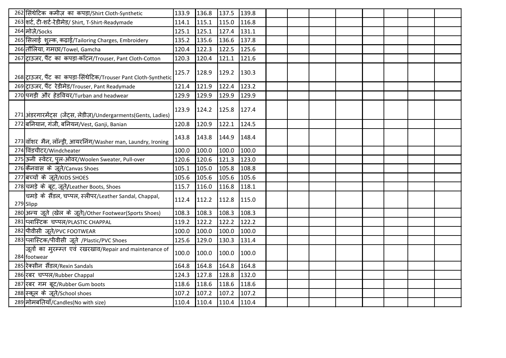| 262 सिंथेटिक कमीज़ का कपड़ा/Shirt Cloth-Synthetic                      | 133.9 | 136.8                   | $137.5$ 139.8 |       |  |  |  |  |
|------------------------------------------------------------------------|-------|-------------------------|---------------|-------|--|--|--|--|
| 263 शर्ट, टी-शर्ट-रेडीमेड/ Shirt, T-Shirt-Readymade                    | 114.1 | 115.1                   | 115.0         | 116.8 |  |  |  |  |
| 264 मोज़े/Socks                                                        | 125.1 | 125.1                   | $127.4$ 131.1 |       |  |  |  |  |
| 265 सिलाई शुल्क, कढ़ाई/Tailoring Charges, Embroidery                   | 135.2 | 135.6                   | 136.6 137.8   |       |  |  |  |  |
| 266 तौलिया, गमछा/Towel, Gamcha                                         | 120.4 | 122.3                   | 122.5         | 125.6 |  |  |  |  |
| 267 ट्राउजर, पैंट का कपड़ा-कॉटन/Trouser, Pant Cloth-Cotton             | 120.3 | 120.4                   | 121.1         | 121.6 |  |  |  |  |
| 268 ट्राउजर, पैंट का कपड़ा-सिंथेटिक/Trouser Pant Cloth-Synthetic       | 125.7 | 128.9                   | $129.2$ 130.3 |       |  |  |  |  |
| 269 ट्राउजर, पैंट रेडीमेड/Trouser, Pant Readymade                      | 121.4 | 121.9                   | 122.4         | 123.2 |  |  |  |  |
| 270 पगड़ी और हेडवियर/Turban and headwear                               | 129.9 | 129.9                   | 129.9         | 129.9 |  |  |  |  |
| 271 अंडरगारमेंट्स (जेंट्स, लेडीज़)/Undergarments(Gents, Ladies)        | 123.9 | 124.2                   | 125.8 127.4   |       |  |  |  |  |
| 272 बनियान, गंजी, बनियन/Vest, Ganji, Banian                            | 120.8 | 120.9                   | 122.1 124.5   |       |  |  |  |  |
| 273 वॉशर मैन, लॉन्ड्री, आयरनिंग/Washer man, Laundry, Ironing           | 143.8 | 143.8                   | 144.9         | 148.4 |  |  |  |  |
| 274 विंडचीटर/Windcheater                                               | 100.0 | 100.0                   | 100.0         | 100.0 |  |  |  |  |
| 275 ऊनी स्वेटर, पूल-ओवर/Woolen Sweater, Pull-over                      | 120.6 | 120.6                   | 121.3         | 123.0 |  |  |  |  |
| 276 कैनवास के जूते/Canvas Shoes                                        | 105.1 | 105.0                   | 105.8         | 108.8 |  |  |  |  |
| 277 बच्चों के जूते/KIDS SHOES                                          | 105.6 | 105.6                   | 105.6         | 105.6 |  |  |  |  |
| 278 चमड़े के बूट, जूते/Leather Boots, Shoes                            | 115.7 | 116.0                   | 116.8 118.1   |       |  |  |  |  |
| चिमड़े के सैंडल, चप्पल, स्लीपर/Leather Sandal, Chappal,<br>279 Slipp   | 112.4 | 112.2                   | $112.8$ 115.0 |       |  |  |  |  |
| 280 अन्य जूते (खेल के जूते)/Other Footwear(Sports Shoes)               | 108.3 | 108.3                   | 108.3         | 108.3 |  |  |  |  |
| 281 प्लास्टिक चप्पल/PLASTIC CHAPPAL                                    | 119.2 | 122.2                   | 122.2         | 122.2 |  |  |  |  |
| 282 पीवीसी जूते/PVC FOOTWEAR                                           | 100.0 | 100.0                   | 100.0         | 100.0 |  |  |  |  |
| 283 प्लास्टिक/पीवीसी जूते /Plastic/PVC Shoes                           | 125.6 | 129.0                   | 130.3         | 131.4 |  |  |  |  |
| जूतों का मुरम्म्त एवं रखरखाव/Repair and maintenance of<br>284 footwear | 100.0 | 100.0                   | 100.0         | 100.0 |  |  |  |  |
| 285 रेक्सीन सैंडल/Rexin Sandals                                        | 164.8 | 164.8                   | 164.8         | 164.8 |  |  |  |  |
| 286 रबर चप्पल/Rubber Chappal                                           | 124.3 | 127.8                   | 128.8         | 132.0 |  |  |  |  |
| 287 रबर गम बूट/Rubber Gum boots                                        | 118.6 | 118.6                   | 118.6         | 118.6 |  |  |  |  |
| 288 स्कूल के जूते/School shoes                                         | 107.2 | 107.2                   | 107.2 107.2   |       |  |  |  |  |
| 289 मोमबतियाँ/Candles(No with size)                                    |       | 110.4 110.4 110.4 110.4 |               |       |  |  |  |  |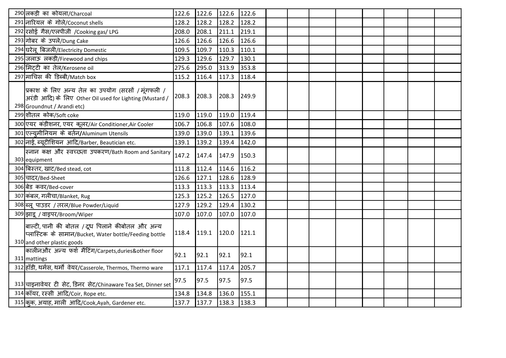| 290 लकड़ी का कोयला/Charcoal                                                                                                                   | 122.6 | 122.6         | 122.6 | 122.6 |  |  |  |  |
|-----------------------------------------------------------------------------------------------------------------------------------------------|-------|---------------|-------|-------|--|--|--|--|
| 291 नारियल के गोले/Coconut shells                                                                                                             | 128.2 | 128.2         | 128.2 | 128.2 |  |  |  |  |
| 292 रसोई गैस/एलपीजी /Cooking gas/ LPG                                                                                                         | 208.0 | 208.1         | 211.1 | 219.1 |  |  |  |  |
| 293 गोबर के उपले/Dung Cake                                                                                                                    | 126.6 | 126.6         | 126.6 | 126.6 |  |  |  |  |
| 294 घरेलू बिजली/Electricity Domestic                                                                                                          | 109.5 | 109.7         | 110.3 | 110.1 |  |  |  |  |
| 295 जलाऊ लकड़ी/Firewood and chips                                                                                                             | 129.3 | 129.6         | 129.7 | 130.1 |  |  |  |  |
| 296 मिटटी का तेल/Kerosene oil                                                                                                                 | 275.6 | 295.0         | 313.9 | 353.8 |  |  |  |  |
| 297 माचिस की डिब्बी/Match box                                                                                                                 | 115.2 | 116.4         | 117.3 | 118.4 |  |  |  |  |
| प्रिकाश के लिए अन्य तेल का उपयोग (सरसों /मूंगफली /<br>अरंडी आदि) के लिए Other Oil used for Lighting (Mustard /<br>298 Groundnut / Arandi etc) | 208.3 | 208.3         | 208.3 | 249.9 |  |  |  |  |
| 299 शीतल कोक/Soft coke                                                                                                                        | 119.0 | 119.0         | 119.0 | 119.4 |  |  |  |  |
| 300 एयर कंडीशनर, एयर कूलर/Air Conditioner, Air Cooler                                                                                         | 106.7 | 106.8         | 107.6 | 108.0 |  |  |  |  |
| 301 एल्युमीनियम के बर्तन/Aluminum Utensils                                                                                                    | 139.0 | 139.0         | 139.1 | 139.6 |  |  |  |  |
| 302 नाई, ब्यूटीशियन आदि/Barber, Beautician etc.                                                                                               | 139.1 | 139.2         | 139.4 | 142.0 |  |  |  |  |
| स्नान कक्ष और स्वच्छता उपकरण/Bath Room and Sanitary<br>303 equipment                                                                          | 147.2 | 147.4         | 147.9 | 150.3 |  |  |  |  |
| 304 बिस्तर, खाट/Bed stead, cot                                                                                                                | 111.8 | 112.4         | 114.6 | 116.2 |  |  |  |  |
| 305 चादर/Bed-Sheet                                                                                                                            | 126.6 | 127.1         | 128.6 | 128.9 |  |  |  |  |
| 306 बेड कवर/Bed-cover                                                                                                                         | 113.3 | 113.3         | 113.3 | 113.4 |  |  |  |  |
| 307 कंबल, गलीचा/Blanket, Rug                                                                                                                  | 125.3 | 125.2         | 126.5 | 127.0 |  |  |  |  |
| 308 ब्लू पाउडर / तरल/Blue Powder/Liquid                                                                                                       | 127.9 | 129.2         | 129.4 | 130.2 |  |  |  |  |
| 309 झाडू / वाइपर/Broom/Wiper                                                                                                                  | 107.0 | 107.0         | 107.0 | 107.0 |  |  |  |  |
| बाल्टी, पानी की बोतल /दूध पिलाने कीबोतल और अन्य<br>प्लास्टिक के सामान/Bucket, Water bottle/Feeding bottle<br>310 and other plastic goods      | 118.4 | 119.1         | 120.0 | 121.1 |  |  |  |  |
| कालीनऔर अन्य फर्श मैटिंग/Carpets,duries&other floor<br>311 mattings                                                                           | 92.1  | 92.1          | 92.1  | 92.1  |  |  |  |  |
| 312 हाँडी, थर्मस, थर्मो वेयर/Casserole, Thermos, Thermo ware                                                                                  | 117.1 | 117.4         | 117.4 | 205.7 |  |  |  |  |
| 313 चाइनावेयर टी सेट, डिनर सेट/Chinaware Tea Set, Dinner set                                                                                  | 97.5  | 97.5          | 97.5  | 97.5  |  |  |  |  |
| 314 कॉयर, रस्सी आदि/Coir, Rope etc.                                                                                                           | 134.8 | 134.8 136.0   |       | 155.1 |  |  |  |  |
| 315 कुक, अयाह, माली आदि/Cook,Ayah, Gardener etc.                                                                                              | 137.7 | $137.7$ 138.3 |       | 138.3 |  |  |  |  |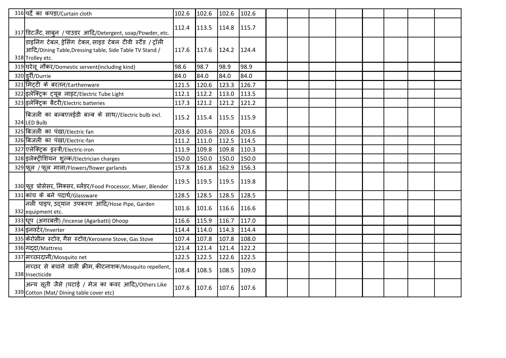| 316 पर्दे का कपड़ा/Curtain cloth                                                                                                           | 102.6 | 102.6                   | $102.6$ 102.6 |       |  |  |  |  |
|--------------------------------------------------------------------------------------------------------------------------------------------|-------|-------------------------|---------------|-------|--|--|--|--|
| 317 डिटर्जेंट, साबून / पाउडर आदि/Detergent, soap/Powder, etc.                                                                              |       | 112.4 113.5 114.8 115.7 |               |       |  |  |  |  |
| डाइनिंग टेबल, ड्रेसिंग टेबल, साइड टेबल टीवी स्टैंड / ट्रॉली<br>आदि/Dining Table, Dressing table, Side Table TV Stand /<br>318 Trolley etc. | 117.6 | 117.6                   | $124.2$ 124.4 |       |  |  |  |  |
| 319 घरेलू नौकर/Domestic servent(including kind)                                                                                            | 98.6  | 98.7                    | 98.9          | 98.9  |  |  |  |  |
| 320 इरी/Durrie                                                                                                                             | 84.0  | 84.0                    | 84.0          | 84.0  |  |  |  |  |
| 321 मिट्टी के बरतन/Earthenware                                                                                                             | 121.5 | 120.6                   | 123.3         | 126.7 |  |  |  |  |
| 322 इलेक्ट्रिक ट्यूब लाइट/Electric Tube Light                                                                                              | 112.1 | 112.2                   | 113.0         | 113.5 |  |  |  |  |
| 323 इलेक्ट्रिक बैटरी/Electric batteries                                                                                                    | 117.3 | 121.2                   | 121.2 121.2   |       |  |  |  |  |
| बिजली का बल्बएलईडी बल्ब के साथ//Electric bulb incl.<br>324 LED Bulb                                                                        | 115.2 | 115.4                   | $115.5$ 115.9 |       |  |  |  |  |
| 325 बिजली का पंखा/Electric fan                                                                                                             | 203.6 | 203.6                   | 203.6         | 203.6 |  |  |  |  |
| 326 बिजली का पंखा/Electric-fan                                                                                                             | 111.2 | 111.0                   | 112.5 114.5   |       |  |  |  |  |
| 327 एलेक्ट्रिक इस्त्री/Electric-iron                                                                                                       | 111.9 | 109.8                   | 109.8         | 110.3 |  |  |  |  |
| 328 इलेक्ट्रीशियन शुल्क/Electrician charges                                                                                                | 150.0 | 150.0                   | 150.0         | 150.0 |  |  |  |  |
| 329 फूल / फूल माला/Flowers/flower garlands                                                                                                 | 157.8 | 161.8                   | 162.9         | 156.3 |  |  |  |  |
| 330 फूड प्रोसेसर, मिक्सर, ब्लेंडर/Food Processor, Mixer, Blender                                                                           | 119.5 | 119.5                   | $119.5$ 119.8 |       |  |  |  |  |
| 331 कांच के बने पदार्थ/Glassware                                                                                                           | 128.5 | 128.5                   | 128.5         | 128.5 |  |  |  |  |
| नली पाइप, उद्यान उपकरण आदि/Hose Pipe, Garden<br>332 equipment etc.                                                                         | 101.6 | 101.6                   | $116.6$ 116.6 |       |  |  |  |  |
| 333 धूप (अगरबत्ती) /Incense (Agarbatti) Dhoop                                                                                              | 116.6 | 115.9                   | 116.7         | 117.0 |  |  |  |  |
| 334 इनवर्टर/Inverter                                                                                                                       | 114.4 | 114.0                   | 114.3         | 114.4 |  |  |  |  |
| 335 केरोसीन स्टोव, गैस स्टोव/Kerosene Stove, Gas Stove                                                                                     | 107.4 | 107.8                   | 107.8         | 108.0 |  |  |  |  |
| 336 गददा/Mattress                                                                                                                          | 121.4 | 121.4                   | 121.4         | 122.2 |  |  |  |  |
| 337 मच्छरदानी/Mosquito net                                                                                                                 | 122.5 | 122.5                   | 122.6         | 122.5 |  |  |  |  |
| मच्छर से बचाने वाली क्रीम, कीटनाशक/Mosquito repellent,<br>338 Insecticide                                                                  | 108.4 | 108.5                   | 108.5         | 109.0 |  |  |  |  |
| अन्य सूती जैसे (चटाई / मेज का कवर आदि)/Others Like<br>339 Cotton (Mat/ Dining table cover etc)                                             | 107.6 | 107.6                   | $107.6$ 107.6 |       |  |  |  |  |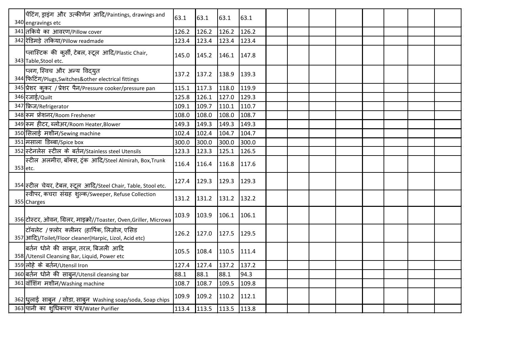| पेंटिंग, ड्राइंग और उत्कीर्णन आदि/Paintings, drawings and<br>340 engravings etc                         | 63.1  | 63.1                | 63.1          | 63.1  |  |  |  |  |
|---------------------------------------------------------------------------------------------------------|-------|---------------------|---------------|-------|--|--|--|--|
| 341 तकिये का आवरण/Pillow cover                                                                          | 126.2 | 126.2               | 126.2         | 126.2 |  |  |  |  |
| 342 रेडिमड़े तकिया/Pillow readmade                                                                      | 123.4 | 123.4               | 123.4         | 123.4 |  |  |  |  |
| प्लास्टिक की कुर्सी, टेबल, स्टूल आदि/Plastic Chair,<br>343 Table, Stool etc.                            | 145.0 | 145.2               | $146.1$ 147.8 |       |  |  |  |  |
| प्लग, स्विच और अन्य विदयुत<br>344 फिटिंग/Plugs, Switches&other electrical fittings                      | 137.2 | 137.2               | 138.9         | 139.3 |  |  |  |  |
| 345 प्रेशर कुकर / प्रेशर पैन/Pressure cooker/pressure pan                                               | 115.1 | 117.3               | 118.0         | 119.9 |  |  |  |  |
| 346 रजाई/Quilt                                                                                          | 125.8 | 126.1               | 127.0         | 129.3 |  |  |  |  |
| 347 फ्रिज/Refrigerator                                                                                  | 109.1 | 109.7               | 110.1         | 110.7 |  |  |  |  |
| 348 रूम फ्रेशनर/Room Freshener                                                                          | 108.0 | 108.0               | 108.0         | 108.7 |  |  |  |  |
| 349 रूम हीटर, ब्लोअर/Room Heater,Blower                                                                 | 149.3 | 149.3               | 149.3         | 149.3 |  |  |  |  |
| 350 सिलाई मशीन/Sewing machine                                                                           | 102.4 | 102.4               | 104.7         | 104.7 |  |  |  |  |
| 351 मसाला डिब्बा/Spice box                                                                              | 300.0 | 300.0               | 300.0         | 300.0 |  |  |  |  |
| 352 स्टेनलेस स्टील के बर्तन/Stainless steel Utensils                                                    | 123.3 | 123.3               | 125.1         | 126.5 |  |  |  |  |
| स्टील अलमीरा, बॉक्स, ट्रंक आदि/Steel Almirah, Box,Trunk<br>353 etc.                                     | 116.4 | 116.4               | 116.8         | 117.6 |  |  |  |  |
| 354 स्टील चेयर, टेबल, स्टूल आदि/Steel Chair, Table, Stool etc.                                          | 127.4 | 129.3               | 129.3         | 129.3 |  |  |  |  |
| स्वीपर, कचरा संग्रह शुल्क/Sweeper, Refuse Collection<br>355 Charges                                     | 131.2 | 131.2               | 131.2         | 132.2 |  |  |  |  |
| 356 टोस्टर, ओवन, ग्रिलर, माइक्रो//Toaster, Oven, Griller, Microwa                                       | 103.9 | 103.9               | $106.1$ 106.1 |       |  |  |  |  |
| टॉयलेट / फ़्लोर क्लीनर (हार्पिक, लिज़ोल, एसिड<br>357 आदि)/Toilet/Floor cleaner(Harpic, Lizol, Acid etc) | 126.2 | 127.0               | 127.5         | 129.5 |  |  |  |  |
| बर्तन धोने की साबुन, तरल, बिजली आदि<br>358 / Utensil Cleansing Bar, Liquid, Power etc                   | 105.5 | 108.4               | 110.5         | 111.4 |  |  |  |  |
| 359 लोहे के बर्तन/Utensil Iron                                                                          | 127.4 | 127.4               | 137.2         | 137.2 |  |  |  |  |
| 360 बर्तन धोने की साब्न/Utensil cleansing bar                                                           | 88.1  | 88.1                | 88.1          | 94.3  |  |  |  |  |
| 361 वॉशिंग मशीन/Washing machine                                                                         | 108.7 | 108.7               | 109.5         | 109.8 |  |  |  |  |
| 362 धुलाई साबुन / सोडा, साबुन Washing soap/soda, Soap chips                                             | 109.9 | 109.2               | $110.2$ 112.1 |       |  |  |  |  |
| 363 पानी का शुधिकरण यंत्र/Water Purifier                                                                | 113.4 | $113.5$ 113.5 113.8 |               |       |  |  |  |  |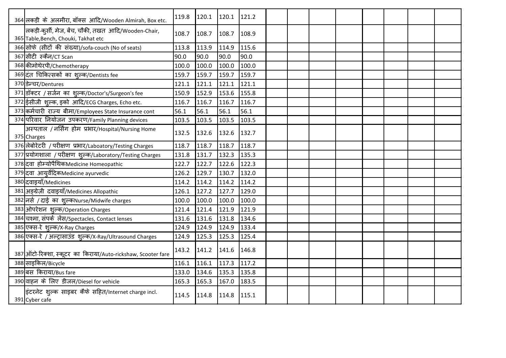| 364 लकड़ी के अलमीरा, बॉक्स आदि/Wooden Almirah, Box etc.                                      | 119.8 | 120.1 | $120.1$ 121.2 |       |  |  |  |  |
|----------------------------------------------------------------------------------------------|-------|-------|---------------|-------|--|--|--|--|
| लकड़ी-कुर्सी, मेज, बेंच, चौकी, तखत आदि/Wooden-Chair,<br>365 Table, Bench, Chouki, Takhat etc | 108.7 | 108.7 | 108.7 108.9   |       |  |  |  |  |
| 366 सोफे (सीटों की संख्या)/sofa-couch (No of seats)                                          | 113.8 | 113.9 | 114.9         | 115.6 |  |  |  |  |
| 367 सीटी स्कैन/CT Scan                                                                       | 90.0  | 90.0  | 90.0          | 90.0  |  |  |  |  |
| 368 कीमोथेरपी/Chemotherapy                                                                   | 100.0 | 100.0 | 100.0         | 100.0 |  |  |  |  |
| 369 दंत चिकित्सकों का शुल्क/Dentists fee                                                     | 159.7 | 159.7 | 159.7         | 159.7 |  |  |  |  |
| 370 डेन्चर/Dentures                                                                          | 121.1 | 121.1 | 121.1         | 121.1 |  |  |  |  |
| 371 डॉक्टर / सर्जन का शुल्क/Doctor's/Surgeon's fee                                           | 150.9 | 152.9 | 153.6         | 155.8 |  |  |  |  |
| 372 ईसीजी शुल्क, इको आदि/ECG Charges, Echo etc.                                              | 116.7 | 116.7 | 116.7         | 116.7 |  |  |  |  |
| 373 कर्मचारी राज्य बीमा/Employees State Insurance cont                                       | 56.1  | 56.1  | 56.1          | 56.1  |  |  |  |  |
| 374 परिवार नियोजन उपकरण/Family Planning devices                                              | 103.5 | 103.5 | 103.5         | 103.5 |  |  |  |  |
| अस्पताल / नर्सिंग होम प्रभार/Hospital/Nursing Home<br>375 Charges                            | 132.5 | 132.6 | 132.6 132.7   |       |  |  |  |  |
| 376 लेबोरेटरी / परीक्षण प्रभार/Laboatory/Testing Charges                                     | 118.7 | 118.7 | 118.7         | 118.7 |  |  |  |  |
| 377 प्रयोगशाला / परीक्षण शुल्क/Laboratory/Testing Charges                                    | 131.8 | 131.7 | 132.3         | 135.3 |  |  |  |  |
| 378 दवा होम्योपैथिकMedicine Homeopathic                                                      | 122.7 | 122.7 | 122.6         | 122.3 |  |  |  |  |
| 379 दवा आयुर्वेदिकMedicine ayurvedic                                                         | 126.2 | 129.7 | 130.7         | 132.0 |  |  |  |  |
| 380 दवाइयाँ/Medicines                                                                        | 114.2 | 114.2 | 114.2         | 114.2 |  |  |  |  |
| 381 अङ्ग्रेज़ी दवाइयाँ/Medicines Allopathic                                                  | 126.1 | 127.2 | 127.7         | 129.0 |  |  |  |  |
| 382 नर्स / दाई का शुल्कNurse/Midwife charges                                                 | 100.0 | 100.0 | 100.0         | 100.0 |  |  |  |  |
| 383 अोपरेशन शुल्क/Operation Charges                                                          | 121.4 | 121.4 | 121.9         | 121.9 |  |  |  |  |
| 384 चश्मा, संपर्क लेंस/Spectacles, Contact lenses                                            | 131.6 | 131.6 | 131.8         | 134.6 |  |  |  |  |
| 385 एक्स-रे शुल्क/X-Ray Charges                                                              | 124.9 | 124.9 | 124.9         | 133.4 |  |  |  |  |
| 386 एक्स-रे / अल्ट्रासाउंड शुल्क/X-Ray/Ultrasound Charges                                    | 124.9 | 125.3 | 125.3         | 125.4 |  |  |  |  |
| 387 ऑटो-रिक्शा, स्कूटर का किराया/Auto-rickshaw, Scooter fare                                 | 143.2 | 141.2 | 141.6 146.8   |       |  |  |  |  |
| 388 साइकिल/Bicycle                                                                           | 116.1 | 116.1 | 117.3 117.2   |       |  |  |  |  |
| 389 बस किराया/Bus fare                                                                       | 133.0 | 134.6 | $135.3$ 135.8 |       |  |  |  |  |
| 390 वाहन के लिए डीजल/Diesel for vehicle                                                      | 165.3 | 165.3 | 167.0         | 183.5 |  |  |  |  |
| इंटरनेट शुल्क साइबर कैफे सहित/Internet charge incl.<br>391 Cyber cafe                        | 114.5 | 114.8 | $114.8$ 115.1 |       |  |  |  |  |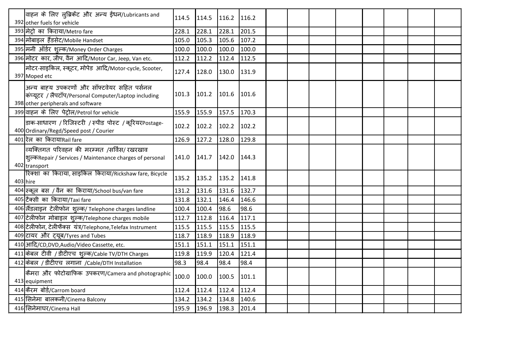| वाहन के लिए ल्ब्रिकेंट और अन्य ईंधन/Lubricants and<br>392 other fuels for vehicle                                                         | 114.5       |               | $114.5$ 116.2 116.2     |       |  |  |  |  |
|-------------------------------------------------------------------------------------------------------------------------------------------|-------------|---------------|-------------------------|-------|--|--|--|--|
| 393 मेट्रो का किराया/Metro fare                                                                                                           | 228.1       | 228.1         | 228.1                   | 201.5 |  |  |  |  |
| 394 मोबाइल हैंडसेट/Mobile Handset                                                                                                         | 105.0       | 105.3         | $105.6$ 107.2           |       |  |  |  |  |
| 395 मनी ऑर्डर शुल्क/Money Order Charges                                                                                                   | 100.0       | 100.0         | $100.0$ 100.0           |       |  |  |  |  |
| 396 मोटर कार, जीप, वैन आदि/Motor Car, Jeep, Van etc.                                                                                      | 112.2       | 112.2         | $112.4$ 112.5           |       |  |  |  |  |
| मोटर-साइकिल, स्कूटर, मोपेड आदि/Motor-cycle, Scooter,<br>397 Moped etc                                                                     | 127.4       | 128.0         | $130.0$ 131.9           |       |  |  |  |  |
| अन्य बाह्य उपकरणों और सॉफ्टवेयर सहित पर्सनल<br>कंप्यूटर / लैपटॉप/Personal Computer/Laptop including<br>398 other peripherals and software |             |               | 101.3 101.2 101.6 101.6 |       |  |  |  |  |
| 399 वाहन के लिए पेट्रोल/Petrol for vehicle                                                                                                | 155.9       | 155.9         | $157.5$ 170.3           |       |  |  |  |  |
| डाक-साधारण / रिजिस्टरी / स्पीड पोस्ट / कूरियरPostage-<br>400 Ordinary/Regd/Speed post / Courier                                           | 102.2       | 102.2         | $102.2$ 102.2           |       |  |  |  |  |
| 401 रेल का किरायाRail fare                                                                                                                | 126.9       | $127.2$ 128.0 |                         | 129.8 |  |  |  |  |
| व्यक्तिगत परिवहन की मरम्मत /सर्विस/ रखरखाव<br>शुल्कRepair / Services / Maintenance charges of personal<br>402 transport                   |             |               | 141.0 141.7 142.0 144.3 |       |  |  |  |  |
| रिक्शा का किराया, साइकिल किराया/Rickshaw fare, Bicycle<br>403 hire                                                                        |             |               | 135.2 135.2 135.2 141.8 |       |  |  |  |  |
| 404 स्कूल बस / वैन का किराया/School bus/van fare                                                                                          | 131.2 131.6 |               | 131.6                   | 132.7 |  |  |  |  |
| 405 टैक्सी का किराया/Taxi fare                                                                                                            | 131.8 132.1 |               | 146.4                   | 146.6 |  |  |  |  |
| 406 सैंडलाइन टेलीफोन शुल्क/ Telephone charges landline                                                                                    | 100.4       | 100.4         | 98.6                    | 98.6  |  |  |  |  |
| 407 टेलीफोन मोबाइल शुल्क/Telephone charges mobile                                                                                         | 112.7       | 112.8         | $116.4$ 117.1           |       |  |  |  |  |
| 408 टेलीफोन, टेलीफैक्स यंत्र/Telephone,Telefax Instrument                                                                                 | 115.5 115.5 |               | $115.5$ 115.5           |       |  |  |  |  |
| 409 टायर और ट्यूब/Tyres and Tubes                                                                                                         | 118.7       | 118.9         | 118.9                   | 118.9 |  |  |  |  |
| 410 आदि/CD, DVD, Audio/Video Cassette, etc.                                                                                               | 151.1       | 151.1         | 151.1                   | 151.1 |  |  |  |  |
| 411 केबल टीवी / डीटीएच शुल्क/Cable TV/DTH Charges                                                                                         | 119.8       | 119.9         | $120.4$ 121.4           |       |  |  |  |  |
| 412 केबल / डीटीएच लगाना / Cable/DTH Installation                                                                                          | 98.3        | 98.4          | 98.4                    | 98.4  |  |  |  |  |
| कैमरा और फोटोग्राफिक उपकरण/Camera and photographic<br>413 equipment                                                                       | 100.0       | 100.0         | 100.5 101.1             |       |  |  |  |  |
| 414 केरम बोर्ड/Carrom board                                                                                                               |             |               | 112.4 112.4 112.4 112.4 |       |  |  |  |  |
| 415 सिनेमा बालकनी/Cinema Balcony                                                                                                          | 134.2       | 134.2         | 134.8                   | 140.6 |  |  |  |  |
| 416 सिनेमाघर/Cinema Hall                                                                                                                  | 195.9       | 196.9         | $198.3$ 201.4           |       |  |  |  |  |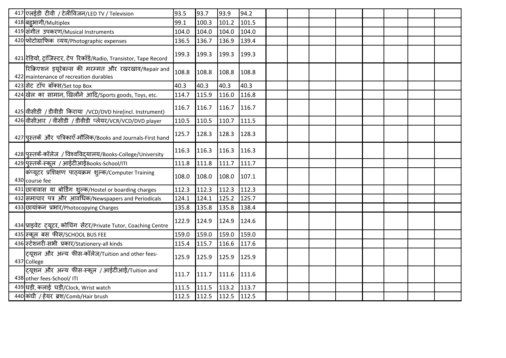| 417 एलईडी टीवी / टेलीविजन/LED TV / Television                                                 | 93.5  | 93.7                    | 93.9  | 94.2  |  |  |  |  |
|-----------------------------------------------------------------------------------------------|-------|-------------------------|-------|-------|--|--|--|--|
| 418 बहुभागी/Multiplex                                                                         | 99.1  | 100.3                   | 101.2 | 101.5 |  |  |  |  |
| 419 संगीत उपकरण/Musical Instruments                                                           | 104.0 | 104.0                   | 104.0 | 104.0 |  |  |  |  |
| 420 फोटोग्राफिक व्यय/Photographic expenses                                                    | 136.5 | 136.7                   | 136.9 | 139.4 |  |  |  |  |
| 421 रेडियो, ट्रांजिस्टर, टेप रिकॉर्ड/Radio, Transistor, Tape Record                           | 199.3 | 199.3                   | 199.3 | 199.3 |  |  |  |  |
| रिक्रिएशन ड्यूरेबल्स की मरम्मत और रखरखाव/Repair and<br>422 maintenance of recreation durables | 108.8 | 108.8                   | 108.8 | 108.8 |  |  |  |  |
| 423 सेट टॉप बॉक्स/Set top Box                                                                 | 40.3  | 40.3                    | 40.3  | 40.3  |  |  |  |  |
| 424 खेल का सामान, खिलौने आदि/Sports goods, Toys, etc.                                         | 114.7 | 115.9                   | 116.0 | 116.8 |  |  |  |  |
| 425 वीसीडी / डीवीडी किराया /VCD/DVD hire(incl. Instrument)                                    | 116.7 | 116.7                   | 116.7 | 116.7 |  |  |  |  |
| 426 वीसीआर / वीसीडी / डीवीडी प्लेयर/VCR/VCD/DVD player                                        | 110.5 | 110.5                   | 110.7 | 111.5 |  |  |  |  |
| 427 पुस्तकें और पत्रिकाएँ-मौलिक/Books and Journals-First hand                                 | 125.7 | 128.3                   | 128.3 | 128.3 |  |  |  |  |
| 428 पुस्तकें-कॉलेज / विश्वविद्यालय/Books-College/University                                   | 116.3 | 116.3                   | 116.3 | 116.3 |  |  |  |  |
| 429 पुस्तकें-स्कूल / आईटीआईBooks-School/ITI                                                   | 111.8 | 111.8                   | 111.7 | 111.7 |  |  |  |  |
| किंप्यूटर प्रशिक्षण पाठ्यक्रम शुल्क/Computer Training<br>430 course fee                       | 108.0 | 108.0                   | 108.0 | 107.1 |  |  |  |  |
| 431 छात्रावास या बोर्डिंग शुल्क/Hostel or boarding charges                                    | 112.3 | 112.3                   | 112.3 | 112.3 |  |  |  |  |
| 432 समाचार पत्र और आवधिक/Newspapers and Periodicals                                           | 124.1 | 124.1                   | 125.2 | 125.7 |  |  |  |  |
| 433 उपयांकन प्रभार/Photocopying Charges                                                       | 135.8 | 135.8                   | 135.8 | 138.4 |  |  |  |  |
| 434 प्राइवेट ट्यूटर, कोचिंग सेंटर/Private Tutor, Coaching Centre                              | 122.9 | 124.9                   | 124.9 | 124.6 |  |  |  |  |
| 435 स्कूल बस फीस/SCHOOL BUS FEE                                                               | 159.0 | 159.0                   | 159.0 | 159.0 |  |  |  |  |
| 436 स्टेशनरी-सभी प्रकार/Stationery-all kinds                                                  | 115.4 | 115.7                   | 116.6 | 117.6 |  |  |  |  |
| ट्यूशन और अन्य फीस-कॉलेज/Tuition and other fees-<br>437 College                               | 125.9 | 125.9                   | 125.9 | 125.9 |  |  |  |  |
| ट्यूशन और अन्य फीस-स्कूल /आईटीआई/Tuition and<br>438 other fees-School/ ITI                    | 111.7 | 111.7                   | 111.6 | 111.6 |  |  |  |  |
| 439 घड़ी, कलाई घड़ी/Clock, Wrist watch                                                        | 111.5 | $111.5$ 113.2 113.7     |       |       |  |  |  |  |
| 440 कंघी / हेयर ब्रश/Comb/Hair brush                                                          |       | 112.5 112.5 112.5 112.5 |       |       |  |  |  |  |